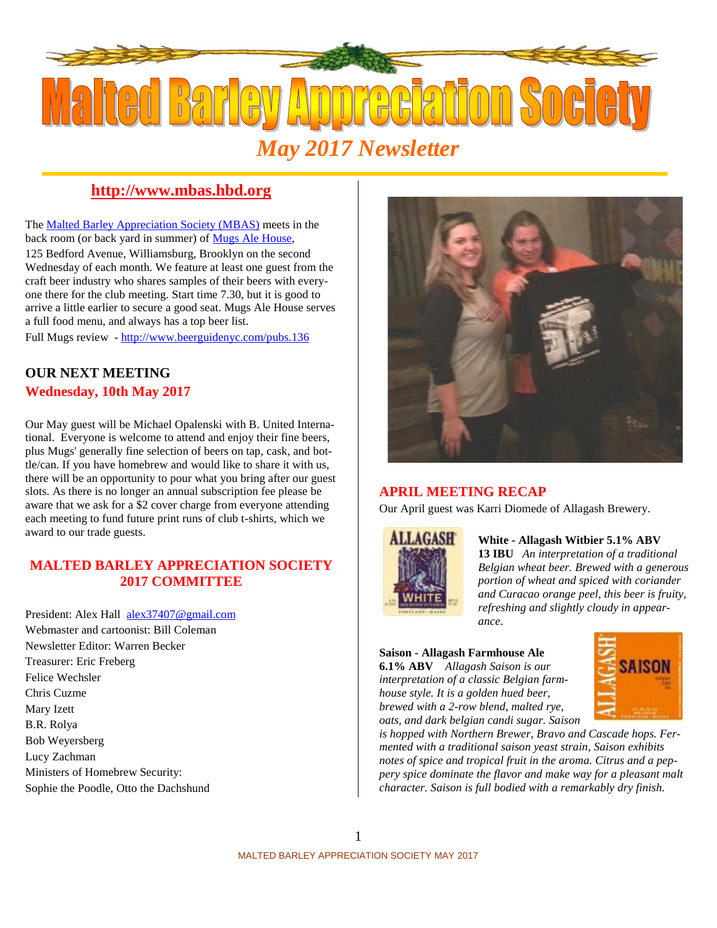

# **http://www.mbas.hbd.org**

The Malted Barley Appreciation Society (MBAS) meets in the back room (or back yard in summer) of Mugs Ale House, 125 Bedford Avenue, Williamsburg, Brooklyn on the second Wednesday of each month. We feature at least one guest from the craft beer industry who shares samples of their beers with everyone there for the club meeting. Start time 7.30, but it is good to arrive a little earlier to secure a good seat. Mugs Ale House serves a full food menu, and always has a top beer list.

Full Mugs review - http://www.beerguidenyc.com/pubs.136

## **OUR NEXT MEETING Wednesday, 10th May 2017**

Our May guest will be Michael Opalenski with B. United International. Everyone is welcome to attend and enjoy their fine beers, plus Mugs' generally fine selection of beers on tap, cask, and bottle/can. If you have homebrew and would like to share it with us, there will be an opportunity to pour what you bring after our guest slots. As there is no longer an annual subscription fee please be aware that we ask for a \$2 cover charge from everyone attending each meeting to fund future print runs of club t-shirts, which we award to our trade guests.

#### **MALTED BARLEY APPRECIATION SOCIETY 2017 COMMITTEE**

President: Alex Hall alex37407@gmail.com Webmaster and cartoonist: Bill Coleman Newsletter Editor: Warren Becker Treasurer: Eric Freberg Felice Wechsler Chris Cuzme Mary Izett B.R. Rolya Bob Weyersberg Lucy Zachman Ministers of Homebrew Security: Sophie the Poodle, Otto the Dachshund



#### **APRIL MEETING RECAP**

Our April guest was Karri Diomede of Allagash Brewery.



#### **White - Allagash Witbier 5.1% ABV 13 IBU** *An interpretation of a traditional Belgian wheat beer. Brewed with a generous portion of wheat and spiced with coriander and Curacao orange peel, this beer is fruity, refreshing and slightly cloudy in appear-*

**MO2IA2** 

# **Saison - Allagash Farmhouse Ale**

**6.1% ABV** *Allagash Saison is our interpretation of a classic Belgian farm house style. It is a golden hued beer, brewed with a 2-row blend, malted rye, oats, and dark belgian candi sugar. Saison*

*ance*.

*is hopped with Northern Brewer, Bravo and Cascade hops. Fer mented with a traditional saison yeast strain, Saison exhibits notes of spice and tropical fruit in the aroma. Citrus and a peppery spice dominate the flavor and make way for a pleasant malt character. Saison is full bodied with a remarkably dry finish.*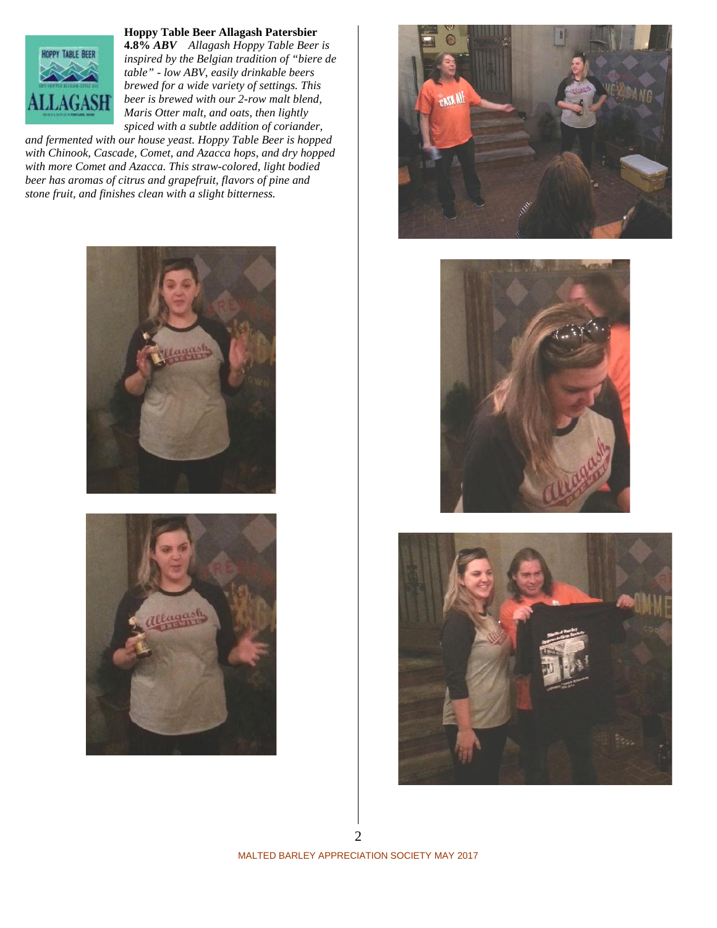

**Hoppy Table Beer Allagash Patersbier**

**4.8%** *ABV Allagash Hoppy Table Beer is inspired by the Belgian tradition of "biere de table" - low ABV, easily drinkable beers brewed for a wide variety of settings. This beer is brewed with our 2-row malt blend, Maris Otter malt, and oats, then lightly spiced with a subtle addition of coriander,*

*and fermented with our house yeast. Hoppy Table Beer is hopped with Chinook, Cascade, Comet, and Azacca hops, and dry hopped with more Comet and Azacca. This straw-colored, light bodied beer has aromas of citrus and grapefruit, flavors of pine and stone fruit, and finishes clean with a slight bitterness.*











MALTED BARLEY APPRECIATION SOCIETY MAY 2017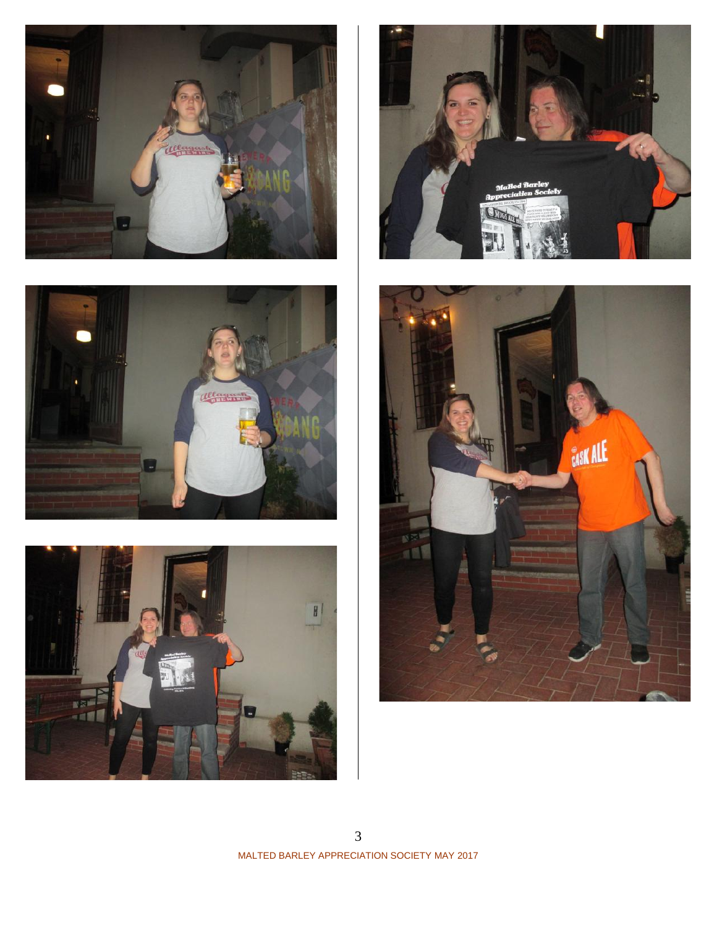







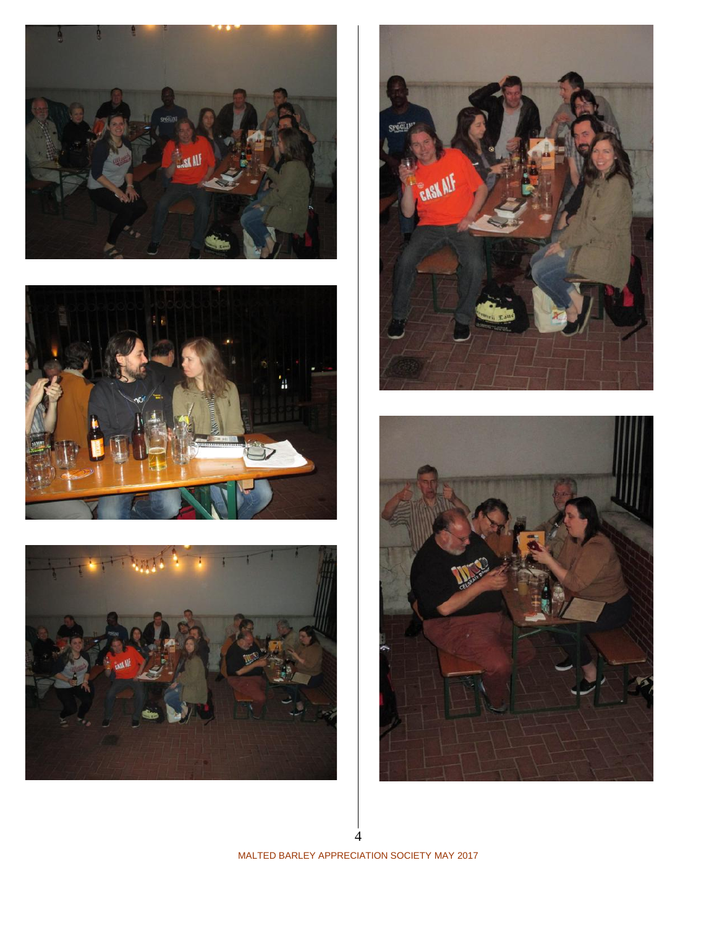